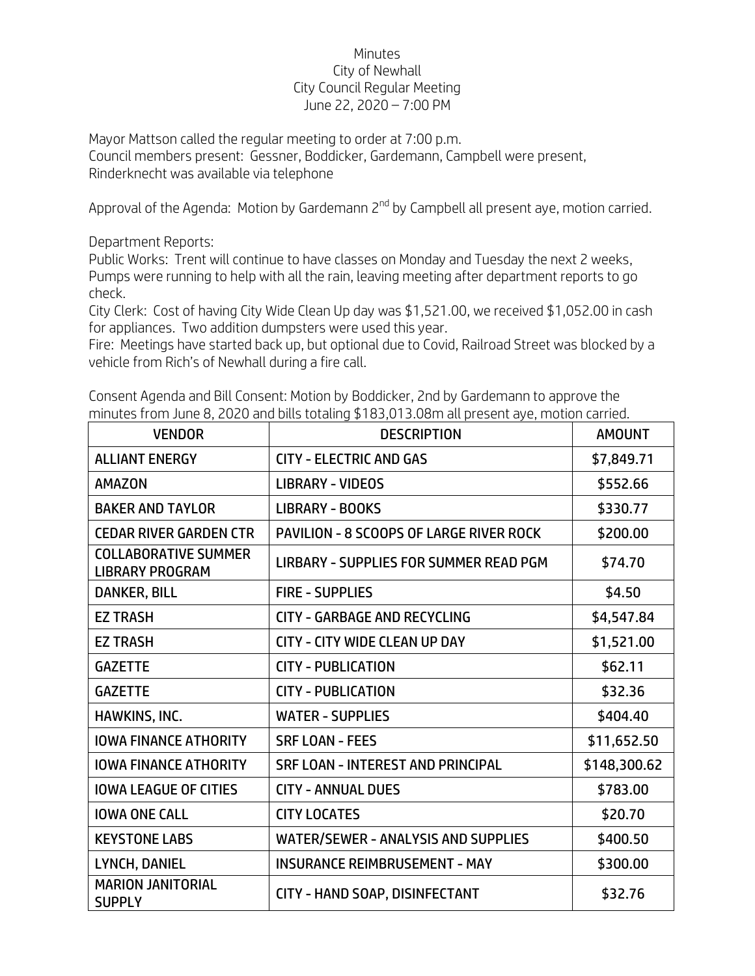## Minutes City of Newhall City Council Regular Meeting June 22, 2020 – 7:00 PM

Mayor Mattson called the regular meeting to order at 7:00 p.m. Council members present: Gessner, Boddicker, Gardemann, Campbell were present, Rinderknecht was available via telephone

Approval of the Agenda: Motion by Gardemann 2<sup>nd</sup> by Campbell all present aye, motion carried.

Department Reports:

Public Works: Trent will continue to have classes on Monday and Tuesday the next 2 weeks, Pumps were running to help with all the rain, leaving meeting after department reports to go check.

City Clerk: Cost of having City Wide Clean Up day was \$1,521.00, we received \$1,052.00 in cash for appliances. Two addition dumpsters were used this year.

Fire: Meetings have started back up, but optional due to Covid, Railroad Street was blocked by a vehicle from Rich's of Newhall during a fire call.

Consent Agenda and Bill Consent: Motion by Boddicker, 2nd by Gardemann to approve the minutes from June 8, 2020 and bills totaling \$183,013.08m all present aye, motion carried.

| <b>VENDOR</b>                                         | <b>DESCRIPTION</b>                             | <b>AMOUNT</b> |
|-------------------------------------------------------|------------------------------------------------|---------------|
| <b>ALLIANT ENERGY</b>                                 | <b>CITY - ELECTRIC AND GAS</b>                 | \$7,849.71    |
| <b>AMAZON</b>                                         | <b>LIBRARY - VIDEOS</b>                        | \$552.66      |
| <b>BAKER AND TAYLOR</b>                               | <b>LIBRARY - BOOKS</b>                         | \$330.77      |
| <b>CEDAR RIVER GARDEN CTR</b>                         | <b>PAVILION - 8 SCOOPS OF LARGE RIVER ROCK</b> | \$200.00      |
| <b>COLLABORATIVE SUMMER</b><br><b>LIBRARY PROGRAM</b> | LIRBARY - SUPPLIES FOR SUMMER READ PGM         | \$74.70       |
| DANKER, BILL                                          | <b>FIRE - SUPPLIES</b>                         | \$4.50        |
| <b>EZ TRASH</b>                                       | <b>CITY - GARBAGE AND RECYCLING</b>            | \$4,547.84    |
| <b>EZ TRASH</b>                                       | <b>CITY - CITY WIDE CLEAN UP DAY</b>           | \$1,521.00    |
| <b>GAZETTE</b>                                        | <b>CITY - PUBLICATION</b>                      | \$62.11       |
| <b>GAZETTE</b>                                        | <b>CITY - PUBLICATION</b>                      | \$32.36       |
| HAWKINS, INC.                                         | <b>WATER - SUPPLIES</b>                        | \$404.40      |
| <b>IOWA FINANCE ATHORITY</b>                          | <b>SRF LOAN - FEES</b>                         | \$11,652.50   |
| <b>IOWA FINANCE ATHORITY</b>                          | <b>SRF LOAN - INTEREST AND PRINCIPAL</b>       | \$148,300.62  |
| <b>IOWA LEAGUE OF CITIES</b>                          | <b>CITY - ANNUAL DUES</b>                      | \$783.00      |
| <b>IOWA ONE CALL</b>                                  | <b>CITY LOCATES</b>                            | \$20.70       |
| <b>KEYSTONE LABS</b>                                  | <b>WATER/SEWER - ANALYSIS AND SUPPLIES</b>     | \$400.50      |
| LYNCH, DANIEL                                         | <b>INSURANCE REIMBRUSEMENT - MAY</b>           | \$300.00      |
| <b>MARION JANITORIAL</b><br><b>SUPPLY</b>             | CITY - HAND SOAP, DISINFECTANT                 | \$32.76       |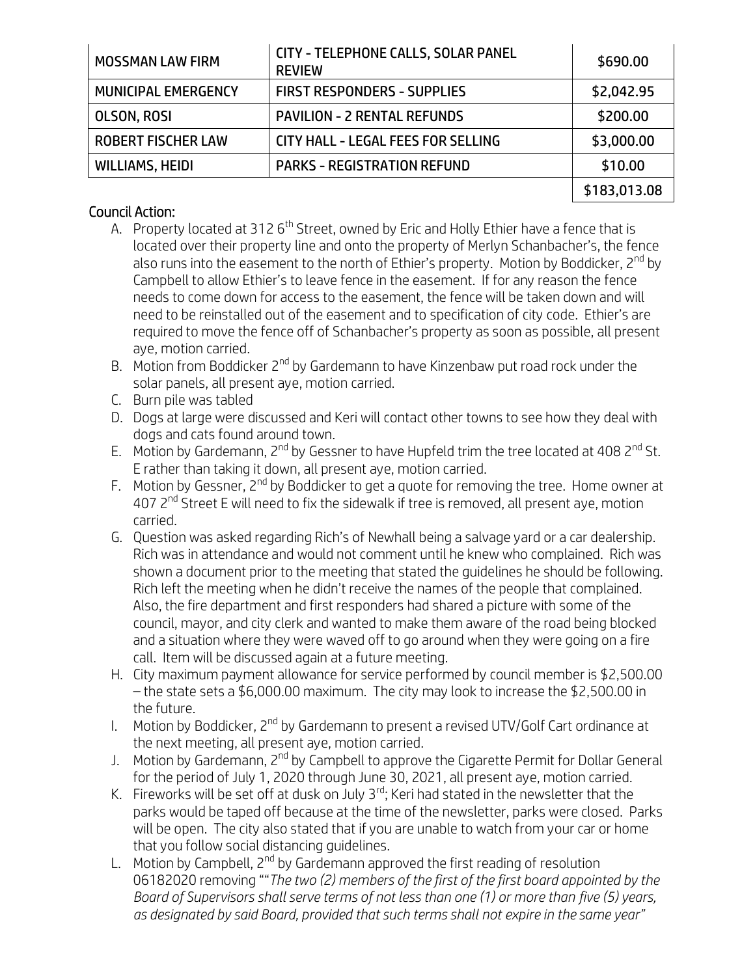| <b>MOSSMAN LAW FIRM</b>   | <b>CITY - TELEPHONE CALLS, SOLAR PANEL</b><br><b>REVIEW</b> | \$690.00     |
|---------------------------|-------------------------------------------------------------|--------------|
| MUNICIPAL EMERGENCY       | <b>FIRST RESPONDERS - SUPPLIES</b>                          | \$2,042.95   |
| <b>OLSON, ROSI</b>        | <b>PAVILION - 2 RENTAL REFUNDS</b>                          | \$200.00     |
| <b>ROBERT FISCHER LAW</b> | CITY HALL - LEGAL FEES FOR SELLING                          | \$3,000.00   |
| <b>WILLIAMS, HEIDI</b>    | <b>PARKS - REGISTRATION REFUND</b>                          | \$10.00      |
|                           |                                                             | \$183,013.08 |

## Council Action:

- A. Property located at 312 6<sup>th</sup> Street, owned by Eric and Holly Ethier have a fence that is located over their property line and onto the property of Merlyn Schanbacher's, the fence also runs into the easement to the north of Ethier's property. Motion by Boddicker, 2<sup>nd</sup> by Campbell to allow Ethier's to leave fence in the easement. If for any reason the fence needs to come down for access to the easement, the fence will be taken down and will need to be reinstalled out of the easement and to specification of city code. Ethier's are required to move the fence off of Schanbacher's property as soon as possible, all present aye, motion carried.
- B. Motion from Boddicker 2<sup>nd</sup> by Gardemann to have Kinzenbaw put road rock under the solar panels, all present aye, motion carried.
- C. Burn pile was tabled
- D. Dogs at large were discussed and Keri will contact other towns to see how they deal with dogs and cats found around town.
- E. Motion by Gardemann, 2<sup>nd</sup> by Gessner to have Hupfeld trim the tree located at 408 2<sup>nd</sup> St. E rather than taking it down, all present aye, motion carried.
- F. Motion by Gessner, 2<sup>nd</sup> by Boddicker to get a guote for removing the tree. Home owner at 407 2<sup>nd</sup> Street E will need to fix the sidewalk if tree is removed, all present ave, motion carried.
- G. Question was asked regarding Rich's of Newhall being a salvage yard or a car dealership. Rich was in attendance and would not comment until he knew who complained. Rich was shown a document prior to the meeting that stated the guidelines he should be following. Rich left the meeting when he didn't receive the names of the people that complained. Also, the fire department and first responders had shared a picture with some of the council, mayor, and city clerk and wanted to make them aware of the road being blocked and a situation where they were waved off to go around when they were going on a fire call. Item will be discussed again at a future meeting.
- H. City maximum payment allowance for service performed by council member is \$2,500.00 – the state sets a \$6,000.00 maximum. The city may look to increase the \$2,500.00 in the future.
- I. Motion by Boddicker, 2<sup>nd</sup> by Gardemann to present a revised UTV/Golf Cart ordinance at the next meeting, all present aye, motion carried.
- J. Motion by Gardemann, 2<sup>nd</sup> by Campbell to approve the Cigarette Permit for Dollar General for the period of July 1, 2020 through June 30, 2021, all present aye, motion carried.
- K. Fireworks will be set off at dusk on July 3rd; Keri had stated in the newsletter that the parks would be taped off because at the time of the newsletter, parks were closed. Parks will be open. The city also stated that if you are unable to watch from your car or home that you follow social distancing guidelines.
- L. Motion by Campbell,  $2^{nd}$  by Gardemann approved the first reading of resolution 06182020 removing ""*The two (2) members of the first of the first board appointed by the Board of Supervisors shall serve terms of not less than one (1) or more than five (5) years, as designated by said Board, provided that such terms shall not expire in the same year"*